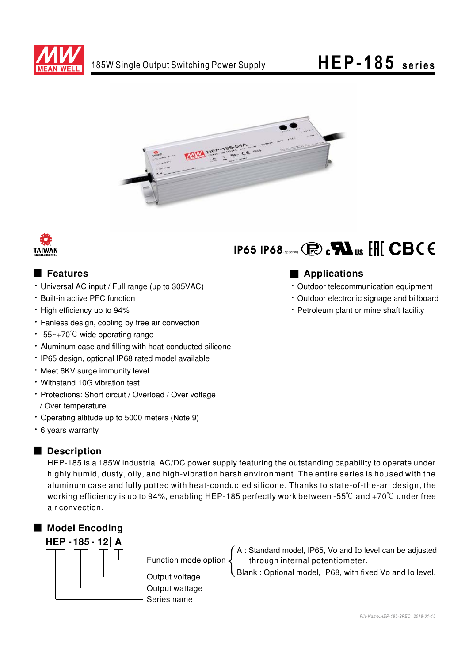

# HEP-185 series





#### Features

- Universal AC input / Full range (up to 305VAC)
- . Built-in active PFC function
- High efficiency up to 94%
- · Fanless design, cooling by free air convection
- $\cdot$  -55~+70°C wide operating range
- Aluminum case and filling with heat-conducted silicone
- · IP65 design, optional IP68 rated model available
- . Meet 6KV surge immunity level
- Withstand 10G vibration test
- Protections: Short circuit / Overload / Over voltage / Over temperature
- Operating altitude up to 5000 meters (Note.9)
- 6 years warranty

### Description

HEP-185 is a 185W industrial AC/DC power supply featuring the outstanding capability to operate under highly humid, dusty, oily, and high-vibration harsh environment. The entire series is housed with the aluminum case and fully potted with heat-conducted silicone. Thanks to state-of-the-art design, the working efficiency is up to 94%, enabling HEP-185 perfectly work between -55 $\degree$ C and +70 $\degree$ C under free air convection.



# IP65 IP68 (process)  $\mathbf{R}$   $_{\text{US}}$   $\mathbf{H}$   $\mathbf{C}$   $\mathbf{B}$   $\mathbf{C}$   $\mathbf{C}$

### Applications

- · Outdoor telecommunication equipment
- Outdoor electronic signage and billboard
- Petroleum plant or mine shaft facility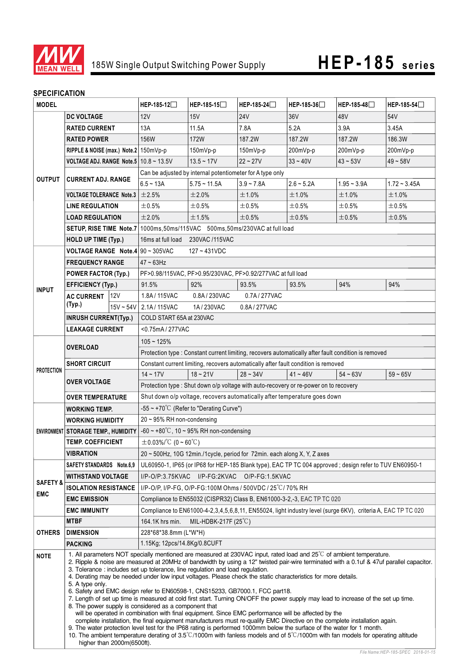

#### **SPECIFICATION**

| <b>MODEL</b>            |                                                                                                                                                                                                                                                                                                                                                                                                                                                                                                                                                                                                                                                                                                                                                                                                                                                                                                                                                                                                                                                                                                                                                                                                                                                                                                                         | HEP-185-12                                                               | HEP-185-15                                                                                                   | HEP-185-24                                                                            | HEP-185-36   | HEP-185-48   | $HEP-185-54$  |                |
|-------------------------|-------------------------------------------------------------------------------------------------------------------------------------------------------------------------------------------------------------------------------------------------------------------------------------------------------------------------------------------------------------------------------------------------------------------------------------------------------------------------------------------------------------------------------------------------------------------------------------------------------------------------------------------------------------------------------------------------------------------------------------------------------------------------------------------------------------------------------------------------------------------------------------------------------------------------------------------------------------------------------------------------------------------------------------------------------------------------------------------------------------------------------------------------------------------------------------------------------------------------------------------------------------------------------------------------------------------------|--------------------------------------------------------------------------|--------------------------------------------------------------------------------------------------------------|---------------------------------------------------------------------------------------|--------------|--------------|---------------|----------------|
|                         | <b>DC VOLTAGE</b>                                                                                                                                                                                                                                                                                                                                                                                                                                                                                                                                                                                                                                                                                                                                                                                                                                                                                                                                                                                                                                                                                                                                                                                                                                                                                                       |                                                                          | 12V                                                                                                          | 15V                                                                                   | <b>24V</b>   | 36V          | 48V           | 54V            |
| <b>OUTPUT</b>           | <b>RATED CURRENT</b>                                                                                                                                                                                                                                                                                                                                                                                                                                                                                                                                                                                                                                                                                                                                                                                                                                                                                                                                                                                                                                                                                                                                                                                                                                                                                                    |                                                                          | 13A                                                                                                          | 11.5A                                                                                 | 7.8A         | 5.2A         | 3.9A          | 3.45A          |
|                         | <b>RATED POWER</b>                                                                                                                                                                                                                                                                                                                                                                                                                                                                                                                                                                                                                                                                                                                                                                                                                                                                                                                                                                                                                                                                                                                                                                                                                                                                                                      |                                                                          | 156W                                                                                                         | <b>172W</b>                                                                           | 187.2W       | 187.2W       | 187.2W        | 186.3W         |
|                         | RIPPLE & NOISE (max.) Note.2 150mVp-p                                                                                                                                                                                                                                                                                                                                                                                                                                                                                                                                                                                                                                                                                                                                                                                                                                                                                                                                                                                                                                                                                                                                                                                                                                                                                   |                                                                          |                                                                                                              | 150mVp-p                                                                              | 150mVp-p     | 200mVp-p     | 200mVp-p      | 200mVp-p       |
|                         | VOLTAGE ADJ. RANGE Note.5 $10.8 \sim 13.5$ V                                                                                                                                                                                                                                                                                                                                                                                                                                                                                                                                                                                                                                                                                                                                                                                                                                                                                                                                                                                                                                                                                                                                                                                                                                                                            |                                                                          |                                                                                                              | $13.5 - 17V$                                                                          | $22 - 27V$   | $33 - 40V$   | $43 - 53V$    | $49 - 58V$     |
|                         | <b>CURRENT ADJ. RANGE</b>                                                                                                                                                                                                                                                                                                                                                                                                                                                                                                                                                                                                                                                                                                                                                                                                                                                                                                                                                                                                                                                                                                                                                                                                                                                                                               |                                                                          | Can be adjusted by internal potentiometer for A type only                                                    |                                                                                       |              |              |               |                |
|                         |                                                                                                                                                                                                                                                                                                                                                                                                                                                                                                                                                                                                                                                                                                                                                                                                                                                                                                                                                                                                                                                                                                                                                                                                                                                                                                                         |                                                                          | $6.5 - 13A$                                                                                                  | $5.75 \sim 11.5A$                                                                     | $3.9 - 7.8A$ | $2.6 - 5.2A$ | $1.95 - 3.9A$ | $1.72 - 3.45A$ |
|                         | <b>VOLTAGE TOLERANCE Note.3</b>                                                                                                                                                                                                                                                                                                                                                                                                                                                                                                                                                                                                                                                                                                                                                                                                                                                                                                                                                                                                                                                                                                                                                                                                                                                                                         |                                                                          | $\pm 2.5\%$                                                                                                  | ±2.0%                                                                                 | ±1.0%        | ±1.0%        | ±1.0%         | ±1.0%          |
|                         | <b>LINE REGULATION</b>                                                                                                                                                                                                                                                                                                                                                                                                                                                                                                                                                                                                                                                                                                                                                                                                                                                                                                                                                                                                                                                                                                                                                                                                                                                                                                  |                                                                          | ±0.5%                                                                                                        | ±0.5%                                                                                 | ±0.5%        | ±0.5%        | ±0.5%         | $\pm 0.5\%$    |
|                         | <b>LOAD REGULATION</b>                                                                                                                                                                                                                                                                                                                                                                                                                                                                                                                                                                                                                                                                                                                                                                                                                                                                                                                                                                                                                                                                                                                                                                                                                                                                                                  |                                                                          | ±2.0%                                                                                                        | ±1.5%                                                                                 | ±0.5%        | ±0.5%        | ±0.5%         | $\pm 0.5\%$    |
|                         |                                                                                                                                                                                                                                                                                                                                                                                                                                                                                                                                                                                                                                                                                                                                                                                                                                                                                                                                                                                                                                                                                                                                                                                                                                                                                                                         |                                                                          | SETUP, RISE TIME Note.7   1000ms, 50ms/115VAC 500ms, 50ms/230VAC at full load                                |                                                                                       |              |              |               |                |
|                         | <b>HOLD UP TIME (Typ.)</b>                                                                                                                                                                                                                                                                                                                                                                                                                                                                                                                                                                                                                                                                                                                                                                                                                                                                                                                                                                                                                                                                                                                                                                                                                                                                                              |                                                                          | 16ms at full load 230VAC /115VAC                                                                             |                                                                                       |              |              |               |                |
| <b>INPUT</b>            | <b>VOLTAGE RANGE Note.4</b> 90 ~ 305VAC                                                                                                                                                                                                                                                                                                                                                                                                                                                                                                                                                                                                                                                                                                                                                                                                                                                                                                                                                                                                                                                                                                                                                                                                                                                                                 |                                                                          | $127 - 431VDC$                                                                                               |                                                                                       |              |              |               |                |
|                         | <b>FREQUENCY RANGE</b>                                                                                                                                                                                                                                                                                                                                                                                                                                                                                                                                                                                                                                                                                                                                                                                                                                                                                                                                                                                                                                                                                                                                                                                                                                                                                                  |                                                                          | $47 - 63$ Hz                                                                                                 |                                                                                       |              |              |               |                |
|                         | <b>POWER FACTOR (Typ.)</b>                                                                                                                                                                                                                                                                                                                                                                                                                                                                                                                                                                                                                                                                                                                                                                                                                                                                                                                                                                                                                                                                                                                                                                                                                                                                                              |                                                                          | PF>0.98/115VAC, PF>0.95/230VAC, PF>0.92/277VAC at full load                                                  |                                                                                       |              |              |               |                |
|                         | <b>EFFICIENCY (Typ.)</b>                                                                                                                                                                                                                                                                                                                                                                                                                                                                                                                                                                                                                                                                                                                                                                                                                                                                                                                                                                                                                                                                                                                                                                                                                                                                                                |                                                                          | 91.5%                                                                                                        | 92%                                                                                   | 93.5%        | 93.5%        | 94%           | 94%            |
|                         | <b>AC CURRENT</b>                                                                                                                                                                                                                                                                                                                                                                                                                                                                                                                                                                                                                                                                                                                                                                                                                                                                                                                                                                                                                                                                                                                                                                                                                                                                                                       | 12V                                                                      | 1.8A/115VAC                                                                                                  | 0.8A / 230VAC                                                                         | 0.7A/277VAC  |              |               |                |
|                         | (Typ.)                                                                                                                                                                                                                                                                                                                                                                                                                                                                                                                                                                                                                                                                                                                                                                                                                                                                                                                                                                                                                                                                                                                                                                                                                                                                                                                  | $15V - 54V$                                                              | 2.1A/115VAC<br>1A / 230VAC<br>0.8A / 277VAC                                                                  |                                                                                       |              |              |               |                |
|                         | <b>INRUSH CURRENT(Typ.)</b>                                                                                                                                                                                                                                                                                                                                                                                                                                                                                                                                                                                                                                                                                                                                                                                                                                                                                                                                                                                                                                                                                                                                                                                                                                                                                             |                                                                          | COLD START 65A at 230VAC                                                                                     |                                                                                       |              |              |               |                |
|                         | <b>LEAKAGE CURRENT</b>                                                                                                                                                                                                                                                                                                                                                                                                                                                                                                                                                                                                                                                                                                                                                                                                                                                                                                                                                                                                                                                                                                                                                                                                                                                                                                  |                                                                          | <0.75mA/277VAC                                                                                               |                                                                                       |              |              |               |                |
| <b>PROTECTION</b>       | <b>OVERLOAD</b>                                                                                                                                                                                                                                                                                                                                                                                                                                                                                                                                                                                                                                                                                                                                                                                                                                                                                                                                                                                                                                                                                                                                                                                                                                                                                                         |                                                                          | $105 - 125%$                                                                                                 |                                                                                       |              |              |               |                |
|                         |                                                                                                                                                                                                                                                                                                                                                                                                                                                                                                                                                                                                                                                                                                                                                                                                                                                                                                                                                                                                                                                                                                                                                                                                                                                                                                                         |                                                                          | Protection type : Constant current limiting, recovers automatically after fault condition is removed         |                                                                                       |              |              |               |                |
|                         | <b>SHORT CIRCUIT</b>                                                                                                                                                                                                                                                                                                                                                                                                                                                                                                                                                                                                                                                                                                                                                                                                                                                                                                                                                                                                                                                                                                                                                                                                                                                                                                    |                                                                          | Constant current limiting, recovers automatically after fault condition is removed                           |                                                                                       |              |              |               |                |
|                         | <b>OVER VOLTAGE</b>                                                                                                                                                                                                                                                                                                                                                                                                                                                                                                                                                                                                                                                                                                                                                                                                                                                                                                                                                                                                                                                                                                                                                                                                                                                                                                     |                                                                          | $14 - 17V$                                                                                                   | $18 - 21V$                                                                            | $28 - 34V$   | $41 - 46V$   | $54 - 63V$    | $59 - 65V$     |
|                         |                                                                                                                                                                                                                                                                                                                                                                                                                                                                                                                                                                                                                                                                                                                                                                                                                                                                                                                                                                                                                                                                                                                                                                                                                                                                                                                         |                                                                          |                                                                                                              | Protection type : Shut down o/p voltage with auto-recovery or re-power on to recovery |              |              |               |                |
| <b>OVER TEMPERATURE</b> |                                                                                                                                                                                                                                                                                                                                                                                                                                                                                                                                                                                                                                                                                                                                                                                                                                                                                                                                                                                                                                                                                                                                                                                                                                                                                                                         |                                                                          | Shut down o/p voltage, recovers automatically after temperature goes down                                    |                                                                                       |              |              |               |                |
|                         | <b>WORKING TEMP.</b>                                                                                                                                                                                                                                                                                                                                                                                                                                                                                                                                                                                                                                                                                                                                                                                                                                                                                                                                                                                                                                                                                                                                                                                                                                                                                                    |                                                                          | $-55 \sim +70^{\circ}$ C (Refer to "Derating Curve")                                                         |                                                                                       |              |              |               |                |
|                         | <b>WORKING HUMIDITY</b>                                                                                                                                                                                                                                                                                                                                                                                                                                                                                                                                                                                                                                                                                                                                                                                                                                                                                                                                                                                                                                                                                                                                                                                                                                                                                                 |                                                                          | 20 ~ 95% RH non-condensing                                                                                   |                                                                                       |              |              |               |                |
|                         | ENVIRONMENT STORAGE TEMP., HUMIDITY                                                                                                                                                                                                                                                                                                                                                                                                                                                                                                                                                                                                                                                                                                                                                                                                                                                                                                                                                                                                                                                                                                                                                                                                                                                                                     |                                                                          | $-60 \sim +80^{\circ}$ C, 10 ~ 95% RH non-condensing                                                         |                                                                                       |              |              |               |                |
|                         | <b>TEMP. COEFFICIENT</b>                                                                                                                                                                                                                                                                                                                                                                                                                                                                                                                                                                                                                                                                                                                                                                                                                                                                                                                                                                                                                                                                                                                                                                                                                                                                                                |                                                                          | $\pm$ 0.03%/°C (0~60°C)                                                                                      |                                                                                       |              |              |               |                |
| <b>VIBRATION</b>        |                                                                                                                                                                                                                                                                                                                                                                                                                                                                                                                                                                                                                                                                                                                                                                                                                                                                                                                                                                                                                                                                                                                                                                                                                                                                                                                         | 20 ~ 500Hz, 10G 12min./1cycle, period for 72min. each along X, Y, Z axes |                                                                                                              |                                                                                       |              |              |               |                |
|                         | SAFETY STANDARDS Note.6,9                                                                                                                                                                                                                                                                                                                                                                                                                                                                                                                                                                                                                                                                                                                                                                                                                                                                                                                                                                                                                                                                                                                                                                                                                                                                                               |                                                                          | UL60950-1, IP65 (or IP68 for HEP-185 Blank type), EAC TP TC 004 approved; design refer to TUV EN60950-1      |                                                                                       |              |              |               |                |
| SAFETY &<br><b>EMC</b>  | <b>WITHSTAND VOLTAGE</b>                                                                                                                                                                                                                                                                                                                                                                                                                                                                                                                                                                                                                                                                                                                                                                                                                                                                                                                                                                                                                                                                                                                                                                                                                                                                                                |                                                                          | I/P-O/P:3.75KVAC<br>I/P-FG:2KVAC<br>O/P-FG:1.5KVAC                                                           |                                                                                       |              |              |               |                |
|                         | <b>ISOLATION RESISTANCE</b>                                                                                                                                                                                                                                                                                                                                                                                                                                                                                                                                                                                                                                                                                                                                                                                                                                                                                                                                                                                                                                                                                                                                                                                                                                                                                             |                                                                          | I/P-O/P, I/P-FG, O/P-FG:100M Ohms / 500VDC / 25°C/70% RH                                                     |                                                                                       |              |              |               |                |
|                         | <b>EMC EMISSION</b>                                                                                                                                                                                                                                                                                                                                                                                                                                                                                                                                                                                                                                                                                                                                                                                                                                                                                                                                                                                                                                                                                                                                                                                                                                                                                                     |                                                                          | Compliance to EN55032 (CISPR32) Class B, EN61000-3-2,-3, EAC TP TC 020                                       |                                                                                       |              |              |               |                |
|                         | <b>EMC IMMUNITY</b>                                                                                                                                                                                                                                                                                                                                                                                                                                                                                                                                                                                                                                                                                                                                                                                                                                                                                                                                                                                                                                                                                                                                                                                                                                                                                                     |                                                                          | Compliance to EN61000-4-2,3,4,5,6,8,11, EN55024, light industry level (surge 6KV), criteria A, EAC TP TC 020 |                                                                                       |              |              |               |                |
| <b>OTHERS</b>           | <b>MTBF</b>                                                                                                                                                                                                                                                                                                                                                                                                                                                                                                                                                                                                                                                                                                                                                                                                                                                                                                                                                                                                                                                                                                                                                                                                                                                                                                             |                                                                          | MIL-HDBK-217F $(25^{\circ}C)$<br>164.1K hrs min.                                                             |                                                                                       |              |              |               |                |
|                         | <b>DIMENSION</b>                                                                                                                                                                                                                                                                                                                                                                                                                                                                                                                                                                                                                                                                                                                                                                                                                                                                                                                                                                                                                                                                                                                                                                                                                                                                                                        |                                                                          | 228*68*38.8mm (L*W*H)                                                                                        |                                                                                       |              |              |               |                |
|                         | <b>PACKING</b>                                                                                                                                                                                                                                                                                                                                                                                                                                                                                                                                                                                                                                                                                                                                                                                                                                                                                                                                                                                                                                                                                                                                                                                                                                                                                                          |                                                                          | 1.15Kg; 12pcs/14.8Kg/0.8CUFT                                                                                 |                                                                                       |              |              |               |                |
| <b>NOTE</b>             | 1. All parameters NOT specially mentioned are measured at 230VAC input, rated load and 25°C of ambient temperature.<br>2. Ripple & noise are measured at 20MHz of bandwidth by using a 12" twisted pair-wire terminated with a 0.1uf & 47uf parallel capacitor.<br>3. Tolerance: includes set up tolerance, line regulation and load regulation.<br>4. Derating may be needed under low input voltages. Please check the static characteristics for more details.<br>5. A type only.<br>6. Safety and EMC design refer to EN60598-1, CNS15233, GB7000.1, FCC part18.<br>7. Length of set up time is measured at cold first start. Turning ON/OFF the power supply may lead to increase of the set up time.<br>8. The power supply is considered as a component that<br>will be operated in combination with final equipment. Since EMC performance will be affected by the<br>complete installation, the final equipment manufacturers must re-qualify EMC Directive on the complete installation again.<br>9. The water protection level test for the IP68 rating is performed 1000mm below the surface of the water for 1 month.<br>10. The ambient temperature derating of $3.5^{\circ}$ C/1000m with fanless models and of $5^{\circ}$ C/1000m with fan models for operating altitude<br>higher than 2000m(6500ft). |                                                                          |                                                                                                              |                                                                                       |              |              |               |                |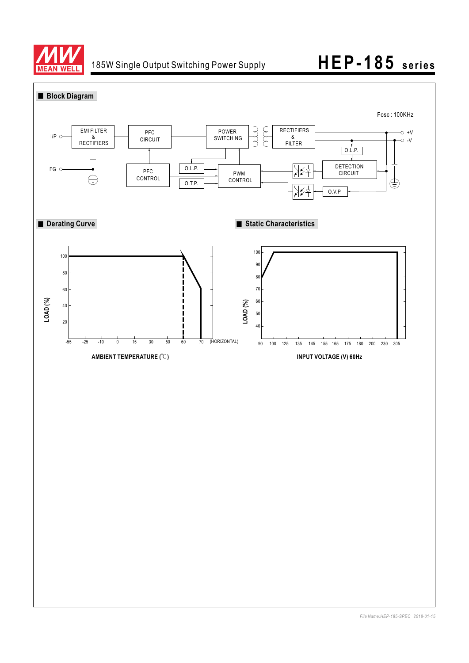

## 185W Single Output Switching Power Supply **HEP-185 series**